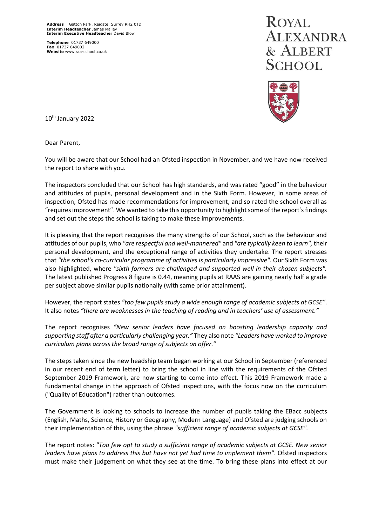**Telephone** 01737 649000 **Fax** 01737 649002 **Website** www.raa-school.co.uk

## **ROYAL** ALEXANDRA & ALBERT **SCHOOL**



10th January 2022

Dear Parent,

You will be aware that our School had an Ofsted inspection in November, and we have now received the report to share with you.

The inspectors concluded that our School has high standards, and was rated "good" in the behaviour and attitudes of pupils, personal development and in the Sixth Form. However, in some areas of inspection, Ofsted has made recommendations for improvement, and so rated the school overall as "requires improvement". We wanted to take this opportunity to highlight some of the report's findings and set out the steps the school is taking to make these improvements.

It is pleasing that the report recognises the many strengths of our School, such as the behaviour and attitudes of our pupils, who *"are respectful and well-mannered"* and *"are typically keen to learn",* their personal development, and the exceptional range of activities they undertake. The report stresses that *"the school's co-curricular programme of activities is particularly impressive".* Our Sixth Form was also highlighted, where *"sixth formers are challenged and supported well in their chosen subjects".* The latest published Progress 8 figure is 0.44, meaning pupils at RAAS are gaining nearly half a grade per subject above similar pupils nationally (with same prior attainment).

However, the report states *"too few pupils study a wide enough range of academic subjects at GCSE"*. It also notes *"there are weaknesses in the teaching of reading and in teachers' use of assessment."*

The report recognises *"New senior leaders have focused on boosting leadership capacity and supporting staff after a particularly challenging year."* They also note *"Leaders have worked to improve curriculum plans across the broad range of subjects on offer."*

The steps taken since the new headship team began working at our School in September (referenced in our recent end of term letter) to bring the school in line with the requirements of the Ofsted September 2019 Framework, are now starting to come into effect. This 2019 Framework made a fundamental change in the approach of Ofsted inspections, with the focus now on the curriculum ("Quality of Education") rather than outcomes.

The Government is looking to schools to increase the number of pupils taking the EBacc subjects (English, Maths, Science, History or Geography, Modern Language) and Ofsted are judging schools on their implementation of this, using the phrase *"sufficient range of academic subjects at GCSE".*

The report notes: *"Too few opt to study a sufficient range of academic subjects at GCSE. New senior leaders have plans to address this but have not yet had time to implement them"*. Ofsted inspectors must make their judgement on what they see at the time. To bring these plans into effect at our